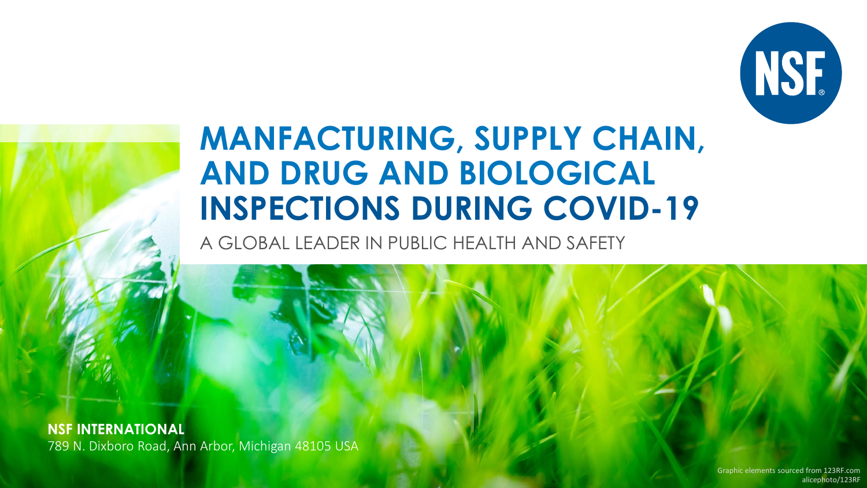

## **MANFACTURING, SUPPLY CHAIN, AND DRUG AND BIOLOGICAL INSPECTIONS DURING COVID-19**

A GLOBAL LEADER IN PUBLIC HEALTH AND SAFETY

**NSF INTERNATIONAL** 789 N. Dixboro Road, Ann Arbor, Michigan 48105 USA

> alicephoto/123RF Graphic elements sourced from 123RF.com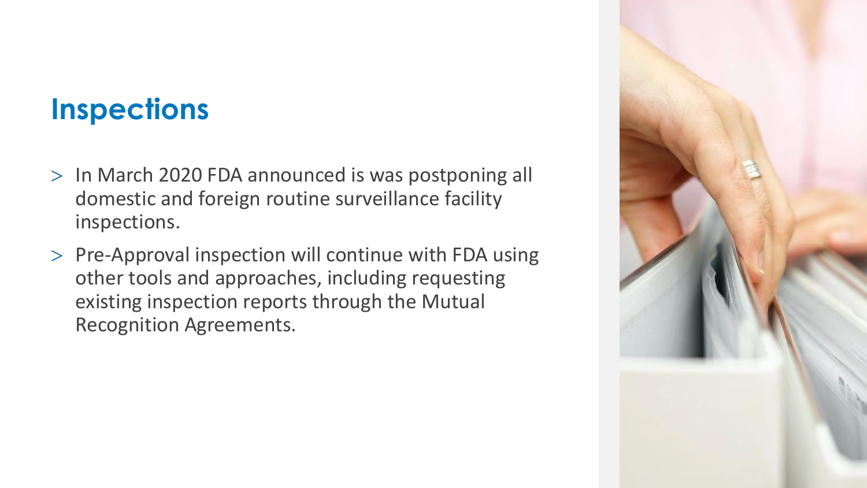#### **Inspections**

- > In March 2020 FDA announced is was postponing all domestic and foreign routine surveillance facility inspections.
- $>$  Pre-Approval inspection will continue with FDA using other tools and approaches, including requesting existing inspection reports through the Mutual Recognition Agreements.

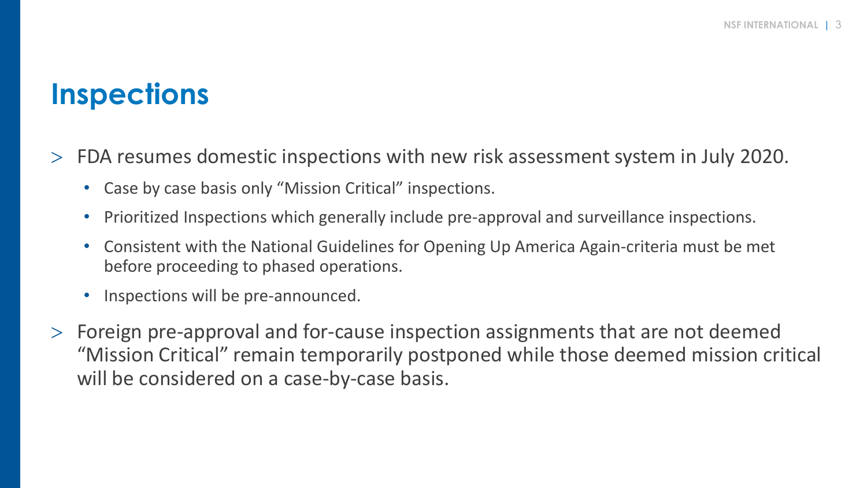#### **Inspections**

- FDA resumes domestic inspections with new risk assessment system in July 2020.
	- Case by case basis only "Mission Critical" inspections.
	- Prioritized Inspections which generally include pre-approval and surveillance inspections.
	- Consistent with the National Guidelines for Opening Up America Again-criteria must be met before proceeding to phased operations.
	- Inspections will be pre-announced.
- Foreign pre-approval and for-cause inspection assignments that are not deemed "Mission Critical" remain temporarily postponed while those deemed mission critical will be considered on a case-by-case basis.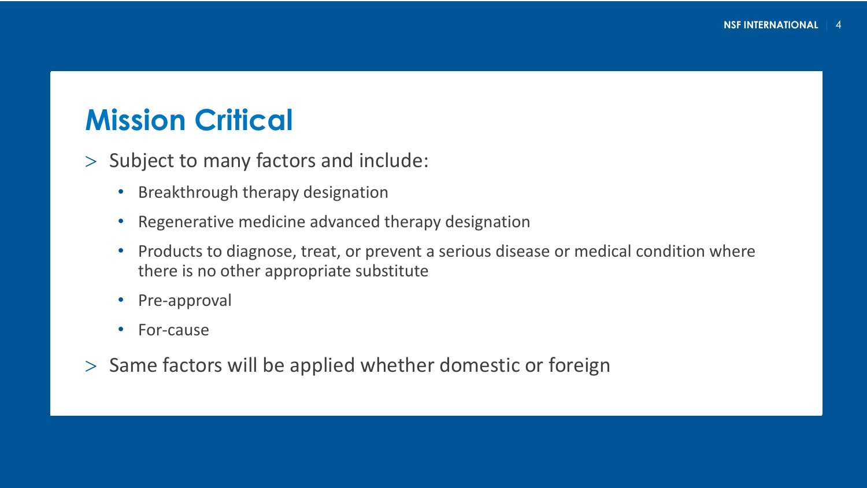#### **Mission Critical**

 $>$  Subject to many factors and include:

- Breakthrough therapy designation
- Regenerative medicine advanced therapy designation
- Products to diagnose, treat, or prevent a serious disease or medical condition where there is no other appropriate substitute
- Pre-approval
- For-cause
- $>$  Same factors will be applied whether domestic or foreign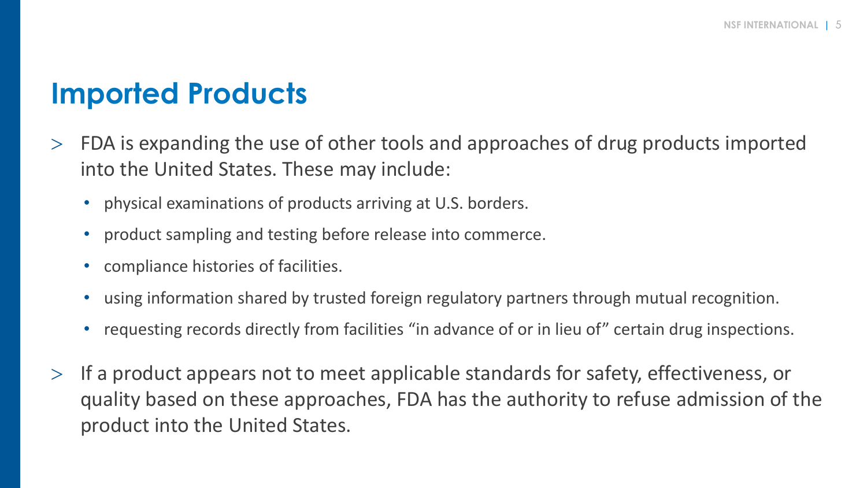#### **Imported Products**

- FDA is expanding the use of other tools and approaches of drug products imported into the United States. These may include:
	- physical examinations of products arriving at U.S. borders.
	- product sampling and testing before release into commerce.
	- compliance histories of facilities.
	- using information shared by trusted foreign regulatory partners through mutual recognition.
	- requesting records directly from facilities "in advance of or in lieu of" certain drug inspections.
- $>$  If a product appears not to meet applicable standards for safety, effectiveness, or quality based on these approaches, FDA has the authority to refuse admission of the product into the United States.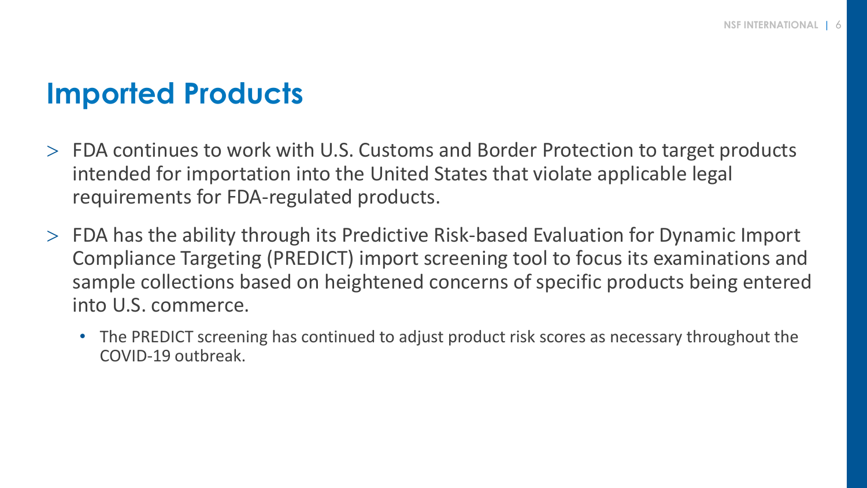#### **Imported Products**

- FDA continues to work with U.S. Customs and Border Protection to target products intended for importation into the United States that violate applicable legal requirements for FDA-regulated products.
- FDA has the ability through its Predictive Risk-based Evaluation for Dynamic Import Compliance Targeting (PREDICT) import screening tool to focus its examinations and sample collections based on heightened concerns of specific products being entered into U.S. commerce.
	- The PREDICT screening has continued to adjust product risk scores as necessary throughout the COVID-19 outbreak.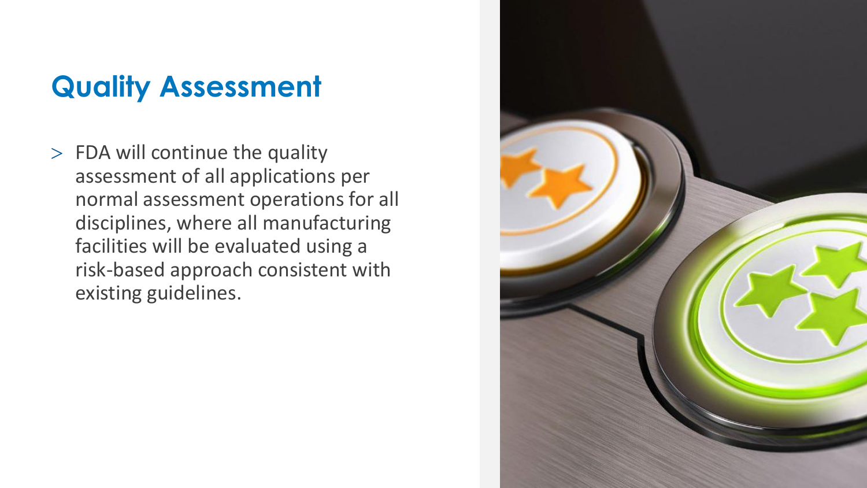## **Quality Assessment**

 $>$  FDA will continue the quality assessment of all applications per normal assessment operations for all disciplines, where all manufacturing facilities will be evaluated using a risk -based approach consistent with existing guidelines.

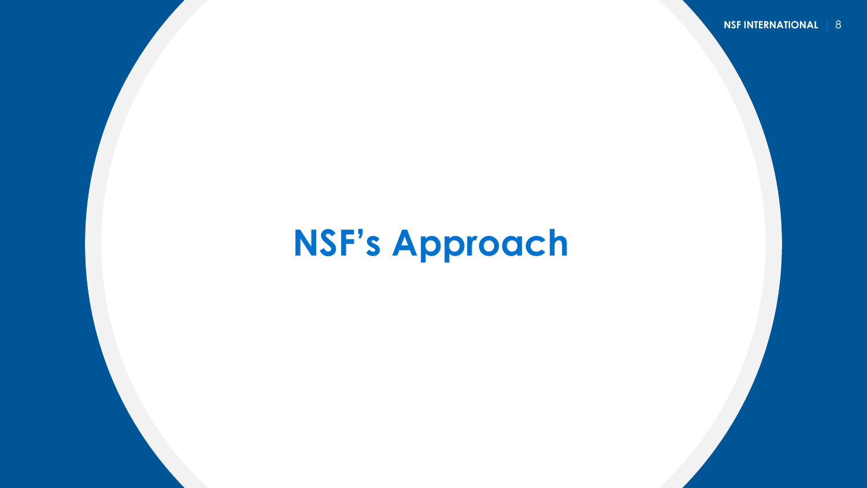## **NSF's Approach**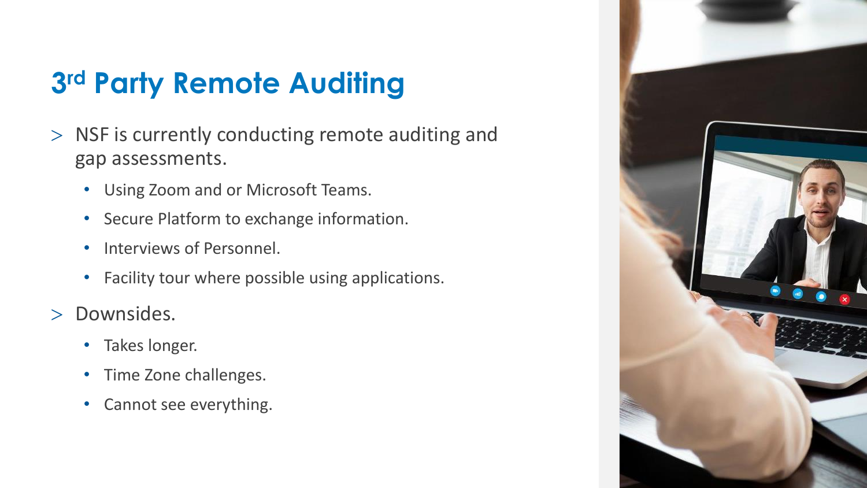## **3 rd Party Remote Auditing**

- $>$  NSF is currently conducting remote auditing and gap assessments.
	- Using Zoom and or Microsoft Teams.
	- Secure Platform to exchange information.
	- Interviews of Personnel.
	- Facility tour where possible using applications.
- > Downsides.
	- Takes longer.
	- Time Zone challenges.
	- Cannot see everything.

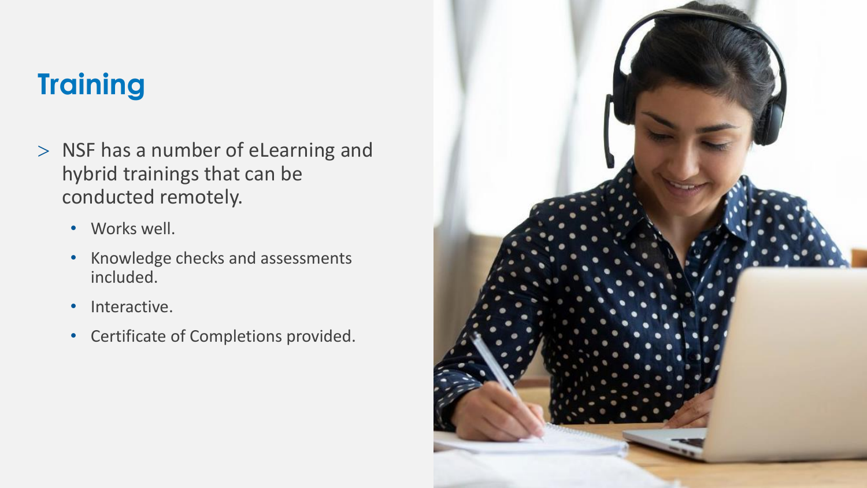### **Training**

- > NSF has a number of eLearning and hybrid trainings that can be conducted remotely.
	- Works well.
	- Knowledge checks and assessments included.
	- Interactive.
	- Certificate of Completions provided.

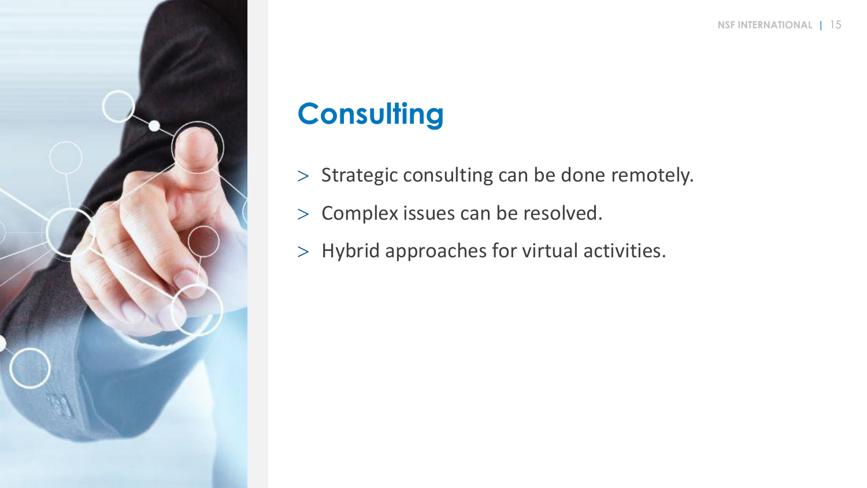

## **Consulting**

- $>$  Strategic consulting can be done remotely.
- > Complex issues can be resolved.
- $>$  Hybrid approaches for virtual activities.